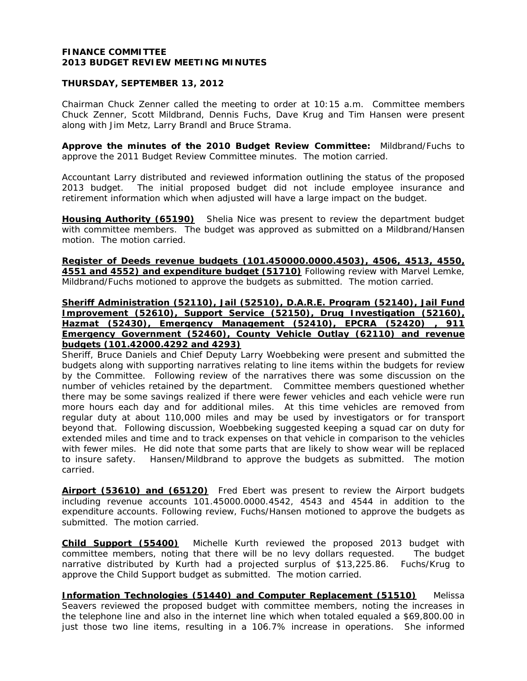#### **FINANCE COMMITTEE 2013 BUDGET REVIEW MEETING MINUTES**

#### **THURSDAY, SEPTEMBER 13, 2012**

Chairman Chuck Zenner called the meeting to order at 10:15 a.m. Committee members Chuck Zenner, Scott Mildbrand, Dennis Fuchs, Dave Krug and Tim Hansen were present along with Jim Metz, Larry Brandl and Bruce Strama.

**Approve the minutes of the 2010 Budget Review Committee:** Mildbrand/Fuchs to approve the 2011 Budget Review Committee minutes. The motion carried.

Accountant Larry distributed and reviewed information outlining the status of the proposed 2013 budget. The initial proposed budget did not include employee insurance and retirement information which when adjusted will have a large impact on the budget.

**Housing Authority (65190)** Shelia Nice was present to review the department budget with committee members. The budget was approved as submitted on a Mildbrand/Hansen motion. The motion carried.

**Register of Deeds revenue budgets (101.450000.0000.4503), 4506, 4513, 4550, 4551 and 4552) and expenditure budget (51710)** Following review with Marvel Lemke, Mildbrand/Fuchs motioned to approve the budgets as submitted. The motion carried.

#### **Sheriff Administration (52110), Jail (52510), D.A.R.E. Program (52140), Jail Fund Improvement (52610), Support Service (52150), Drug Investigation (52160), Hazmat (52430), Emergency Management (52410), EPCRA (52420) , 911 Emergency Government (52460), County Vehicle Outlay (62110) and revenue budgets (101.42000.4292 and 4293)**

Sheriff, Bruce Daniels and Chief Deputy Larry Woebbeking were present and submitted the budgets along with supporting narratives relating to line items within the budgets for review by the Committee. Following review of the narratives there was some discussion on the number of vehicles retained by the department. Committee members questioned whether there may be some savings realized if there were fewer vehicles and each vehicle were run more hours each day and for additional miles. At this time vehicles are removed from regular duty at about 110,000 miles and may be used by investigators or for transport beyond that. Following discussion, Woebbeking suggested keeping a squad car on duty for extended miles and time and to track expenses on that vehicle in comparison to the vehicles with fewer miles. He did note that some parts that are likely to show wear will be replaced to insure safety. Hansen/Mildbrand to approve the budgets as submitted. The motion carried.

**Airport (53610) and (65120)** Fred Ebert was present to review the Airport budgets including revenue accounts 101.45000.0000.4542, 4543 and 4544 in addition to the expenditure accounts. Following review, Fuchs/Hansen motioned to approve the budgets as submitted. The motion carried.

**Child Support (55400)** Michelle Kurth reviewed the proposed 2013 budget with committee members, noting that there will be no levy dollars requested. The budget narrative distributed by Kurth had a projected surplus of \$13,225.86. Fuchs/Krug to approve the Child Support budget as submitted. The motion carried.

**Information Technologies (51440) and Computer Replacement (51510)** Melissa Seavers reviewed the proposed budget with committee members, noting the increases in the telephone line and also in the internet line which when totaled equaled a \$69,800.00 in just those two line items, resulting in a 106.7% increase in operations. She informed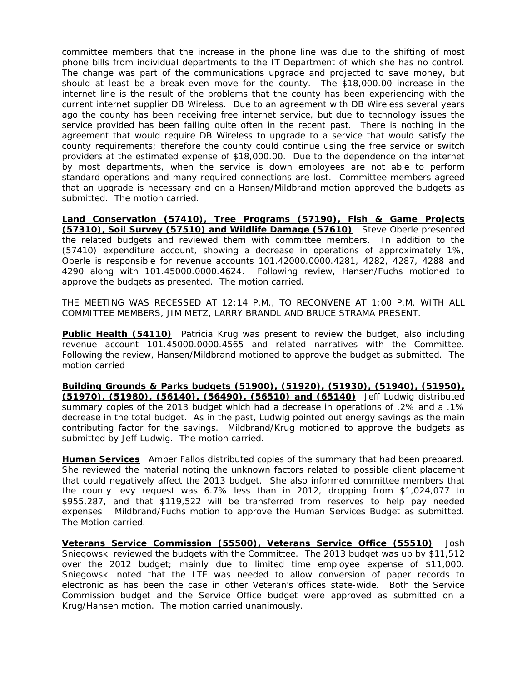committee members that the increase in the phone line was due to the shifting of most phone bills from individual departments to the IT Department of which she has no control. The change was part of the communications upgrade and projected to save money, but should at least be a break-even move for the county. The \$18,000.00 increase in the internet line is the result of the problems that the county has been experiencing with the current internet supplier DB Wireless. Due to an agreement with DB Wireless several years ago the county has been receiving free internet service, but due to technology issues the service provided has been failing quite often in the recent past. There is nothing in the agreement that would require DB Wireless to upgrade to a service that would satisfy the county requirements; therefore the county could continue using the free service or switch providers at the estimated expense of \$18,000.00. Due to the dependence on the internet by most departments, when the service is down employees are not able to perform standard operations and many required connections are lost. Committee members agreed that an upgrade is necessary and on a Hansen/Mildbrand motion approved the budgets as submitted. The motion carried.

**Land Conservation (57410), Tree Programs (57190), Fish & Game Projects (57310), Soil Survey (57510) and Wildlife Damage (57610)** Steve Oberle presented the related budgets and reviewed them with committee members. In addition to the (57410) expenditure account, showing a decrease in operations of approximately 1%, Oberle is responsible for revenue accounts 101.42000.0000.4281, 4282, 4287, 4288 and 4290 along with 101.45000.0000.4624. Following review, Hansen/Fuchs motioned to approve the budgets as presented. The motion carried.

THE MEETING WAS RECESSED AT 12:14 P.M., TO RECONVENE AT 1:00 P.M. WITH ALL COMMITTEE MEMBERS, JIM METZ, LARRY BRANDL AND BRUCE STRAMA PRESENT.

**Public Health (54110)** Patricia Krug was present to review the budget, also including revenue account 101.45000.0000.4565 and related narratives with the Committee. Following the review, Hansen/Mildbrand motioned to approve the budget as submitted. The motion carried

**Building Grounds & Parks budgets (51900), (51920), (51930), (51940), (51950), (51970), (51980), (56140), (56490), (56510) and (65140)** Jeff Ludwig distributed summary copies of the 2013 budget which had a decrease in operations of .2% and a .1% decrease in the total budget. As in the past, Ludwig pointed out energy savings as the main contributing factor for the savings. Mildbrand/Krug motioned to approve the budgets as submitted by Jeff Ludwig. The motion carried.

**Human Services** Amber Fallos distributed copies of the summary that had been prepared. She reviewed the material noting the unknown factors related to possible client placement that could negatively affect the 2013 budget. She also informed committee members that the county levy request was 6.7% less than in 2012, dropping from \$1,024,077 to \$955,287, and that \$119,522 will be transferred from reserves to help pay needed expenses Mildbrand/Fuchs motion to approve the Human Services Budget as submitted. The Motion carried.

**Veterans Service Commission (55500), Veterans Service Office (55510)** Josh Sniegowski reviewed the budgets with the Committee. The 2013 budget was up by \$11,512 over the 2012 budget; mainly due to limited time employee expense of \$11,000. Sniegowski noted that the LTE was needed to allow conversion of paper records to electronic as has been the case in other Veteran's offices state-wide. Both the Service Commission budget and the Service Office budget were approved as submitted on a Krug/Hansen motion. The motion carried unanimously.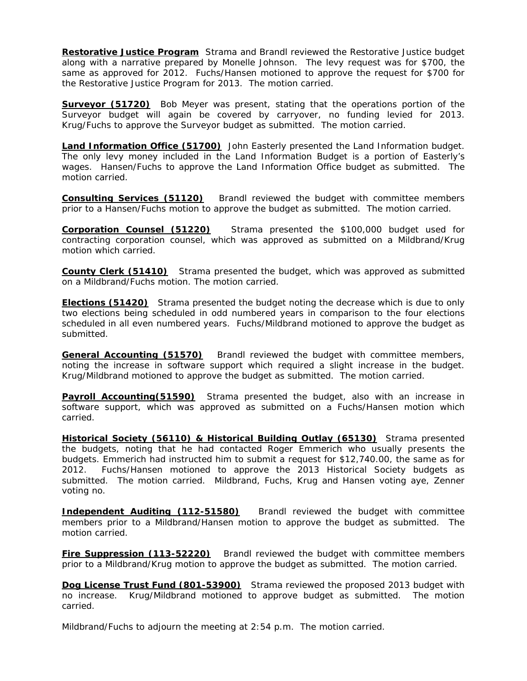**Restorative Justice Program** Strama and Brandl reviewed the Restorative Justice budget along with a narrative prepared by Monelle Johnson. The levy request was for \$700, the same as approved for 2012. Fuchs/Hansen motioned to approve the request for \$700 for the Restorative Justice Program for 2013. The motion carried.

**Surveyor (51720)** Bob Meyer was present, stating that the operations portion of the Surveyor budget will again be covered by carryover, no funding levied for 2013. Krug/Fuchs to approve the Surveyor budget as submitted. The motion carried.

**Land Information Office (51700)** John Easterly presented the Land Information budget. The only levy money included in the Land Information Budget is a portion of Easterly's wages. Hansen/Fuchs to approve the Land Information Office budget as submitted. The motion carried.

**Consulting Services (51120)** Brandl reviewed the budget with committee members prior to a Hansen/Fuchs motion to approve the budget as submitted. The motion carried.

**Corporation Counsel (51220)** Strama presented the \$100,000 budget used for contracting corporation counsel, which was approved as submitted on a Mildbrand/Krug motion which carried.

**County Clerk (51410)** Strama presented the budget, which was approved as submitted on a Mildbrand/Fuchs motion. The motion carried.

**Elections (51420)** Strama presented the budget noting the decrease which is due to only two elections being scheduled in odd numbered years in comparison to the four elections scheduled in all even numbered years. Fuchs/Mildbrand motioned to approve the budget as submitted.

**General Accounting (51570)** Brandl reviewed the budget with committee members, noting the increase in software support which required a slight increase in the budget. Krug/Mildbrand motioned to approve the budget as submitted. The motion carried.

**Payroll Accounting(51590)** Strama presented the budget, also with an increase in software support, which was approved as submitted on a Fuchs/Hansen motion which carried.

**Historical Society (56110) & Historical Building Outlay (65130)** Strama presented the budgets, noting that he had contacted Roger Emmerich who usually presents the budgets. Emmerich had instructed him to submit a request for \$12,740.00, the same as for 2012. Fuchs/Hansen motioned to approve the 2013 Historical Society budgets as submitted. The motion carried. Mildbrand, Fuchs, Krug and Hansen voting aye, Zenner voting no.

**Independent Auditing (112-51580)** Brandl reviewed the budget with committee members prior to a Mildbrand/Hansen motion to approve the budget as submitted. The motion carried.

**Fire Suppression (113-52220)** Brandl reviewed the budget with committee members prior to a Mildbrand/Krug motion to approve the budget as submitted. The motion carried.

**Dog License Trust Fund (801-53900)** Strama reviewed the proposed 2013 budget with no increase. Krug/Mildbrand motioned to approve budget as submitted. The motion carried.

Mildbrand/Fuchs to adjourn the meeting at 2:54 p.m. The motion carried.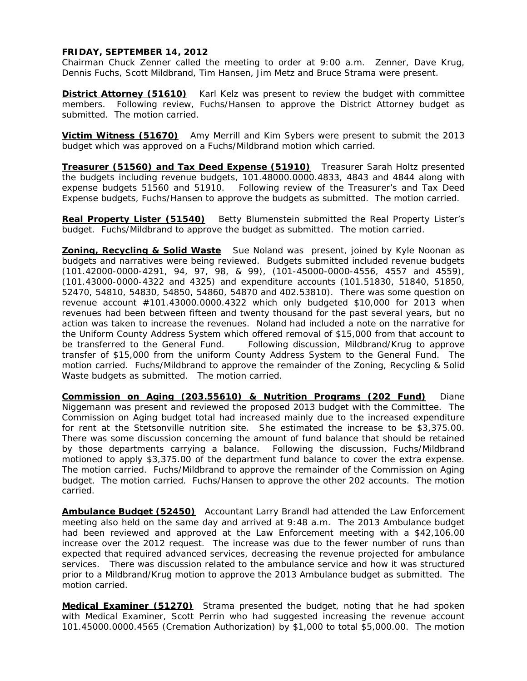#### **FRIDAY, SEPTEMBER 14, 2012**

Chairman Chuck Zenner called the meeting to order at 9:00 a.m. Zenner, Dave Krug, Dennis Fuchs, Scott Mildbrand, Tim Hansen, Jim Metz and Bruce Strama were present.

**District Attorney (51610)** Karl Kelz was present to review the budget with committee members. Following review, Fuchs/Hansen to approve the District Attorney budget as submitted. The motion carried.

**Victim Witness (51670)** Amy Merrill and Kim Sybers were present to submit the 2013 budget which was approved on a Fuchs/Mildbrand motion which carried.

**Treasurer (51560) and Tax Deed Expense (51910)** Treasurer Sarah Holtz presented the budgets including revenue budgets, 101.48000.0000.4833, 4843 and 4844 along with expense budgets 51560 and 51910. Following review of the Treasurer's and Tax Deed Expense budgets, Fuchs/Hansen to approve the budgets as submitted. The motion carried.

**Real Property Lister (51540)** Betty Blumenstein submitted the Real Property Lister's budget. Fuchs/Mildbrand to approve the budget as submitted. The motion carried.

**Zoning, Recycling & Solid Waste** Sue Noland was present, joined by Kyle Noonan as budgets and narratives were being reviewed. Budgets submitted included revenue budgets (101.42000-0000-4291, 94, 97, 98, & 99), (101-45000-0000-4556, 4557 and 4559), (101.43000-0000-4322 and 4325) and expenditure accounts (101.51830, 51840, 51850, 52470, 54810, 54830, 54850, 54860, 54870 and 402.53810). There was some question on revenue account #101.43000.0000.4322 which only budgeted \$10,000 for 2013 when revenues had been between fifteen and twenty thousand for the past several years, but no action was taken to increase the revenues. Noland had included a note on the narrative for the Uniform County Address System which offered removal of \$15,000 from that account to be transferred to the General Fund. Following discussion, Mildbrand/Krug to approve transfer of \$15,000 from the uniform County Address System to the General Fund. The motion carried. Fuchs/Mildbrand to approve the remainder of the Zoning, Recycling & Solid Waste budgets as submitted. The motion carried.

**Commission on Aging (203.55610) & Nutrition Programs (202 Fund)** Diane Niggemann was present and reviewed the proposed 2013 budget with the Committee. The Commission on Aging budget total had increased mainly due to the increased expenditure for rent at the Stetsonville nutrition site. She estimated the increase to be \$3,375.00. There was some discussion concerning the amount of fund balance that should be retained by those departments carrying a balance. Following the discussion, Fuchs/Mildbrand motioned to apply \$3,375.00 of the department fund balance to cover the extra expense. The motion carried. Fuchs/Mildbrand to approve the remainder of the Commission on Aging budget. The motion carried. Fuchs/Hansen to approve the other 202 accounts. The motion carried.

**Ambulance Budget (52450)** Accountant Larry Brandl had attended the Law Enforcement meeting also held on the same day and arrived at 9:48 a.m. The 2013 Ambulance budget had been reviewed and approved at the Law Enforcement meeting with a \$42,106.00 increase over the 2012 request. The increase was due to the fewer number of runs than expected that required advanced services, decreasing the revenue projected for ambulance services. There was discussion related to the ambulance service and how it was structured prior to a Mildbrand/Krug motion to approve the 2013 Ambulance budget as submitted. The motion carried.

**Medical Examiner (51270)** Strama presented the budget, noting that he had spoken with Medical Examiner, Scott Perrin who had suggested increasing the revenue account 101.45000.0000.4565 (Cremation Authorization) by \$1,000 to total \$5,000.00. The motion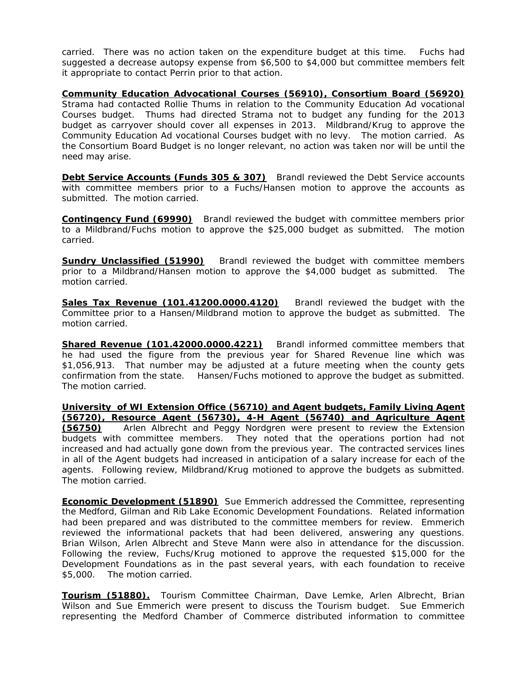carried. There was no action taken on the expenditure budget at this time. Fuchs had suggested a decrease autopsy expense from \$6,500 to \$4,000 but committee members felt it appropriate to contact Perrin prior to that action.

**Community Education Advocational Courses (56910), Consortium Board (56920)** Strama had contacted Rollie Thums in relation to the Community Education Ad vocational Courses budget. Thums had directed Strama not to budget any funding for the 2013 budget as carryover should cover all expenses in 2013. Mildbrand/Krug to approve the Community Education Ad vocational Courses budget with no levy. The motion carried. As the Consortium Board Budget is no longer relevant, no action was taken nor will be until the need may arise.

**Debt Service Accounts (Funds 305 & 307)** Brandl reviewed the Debt Service accounts with committee members prior to a Fuchs/Hansen motion to approve the accounts as submitted. The motion carried.

**Contingency Fund (69990)** Brandl reviewed the budget with committee members prior to a Mildbrand/Fuchs motion to approve the \$25,000 budget as submitted. The motion carried.

**Sundry Unclassified (51990)** Brandl reviewed the budget with committee members prior to a Mildbrand/Hansen motion to approve the \$4,000 budget as submitted. The motion carried.

**Sales Tax Revenue (101.41200.0000.4120)** Brandl reviewed the budget with the Committee prior to a Hansen/Mildbrand motion to approve the budget as submitted. The motion carried.

**Shared Revenue (101.42000.0000.4221)** Brandl informed committee members that he had used the figure from the previous year for Shared Revenue line which was \$1,056,913. That number may be adjusted at a future meeting when the county gets confirmation from the state. Hansen/Fuchs motioned to approve the budget as submitted. The motion carried.

**University of WI Extension Office (56710) and Agent budgets, Family Living Agent (56720), Resource Agent (56730), 4-H Agent (56740) and Agriculture Agent (56750)** Arlen Albrecht and Peggy Nordgren were present to review the Extension budgets with committee members. They noted that the operations portion had not increased and had actually gone down from the previous year. The contracted services lines in all of the Agent budgets had increased in anticipation of a salary increase for each of the agents. Following review, Mildbrand/Krug motioned to approve the budgets as submitted. The motion carried.

**Economic Development (51890)** Sue Emmerich addressed the Committee, representing the Medford, Gilman and Rib Lake Economic Development Foundations. Related information had been prepared and was distributed to the committee members for review. Emmerich reviewed the informational packets that had been delivered, answering any questions. Brian Wilson, Arlen Albrecht and Steve Mann were also in attendance for the discussion. Following the review, Fuchs/Krug motioned to approve the requested \$15,000 for the Development Foundations as in the past several years, with each foundation to receive \$5,000. The motion carried.

**Tourism (51880).** Tourism Committee Chairman, Dave Lemke, Arlen Albrecht, Brian Wilson and Sue Emmerich were present to discuss the Tourism budget. Sue Emmerich representing the Medford Chamber of Commerce distributed information to committee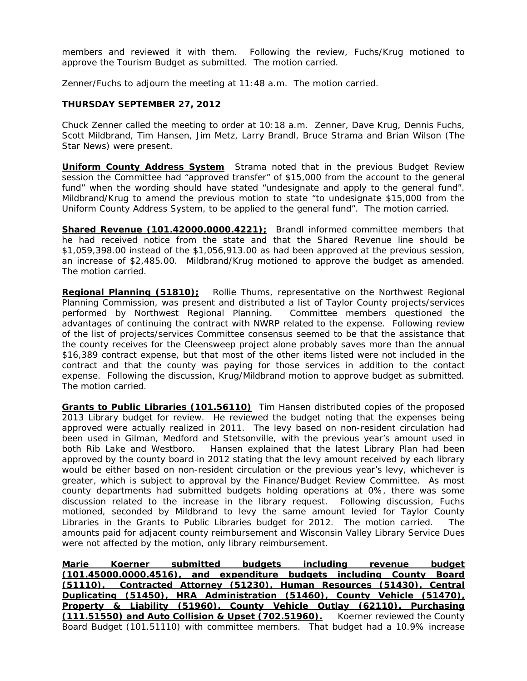members and reviewed it with them. Following the review, Fuchs/Krug motioned to approve the Tourism Budget as submitted. The motion carried.

Zenner/Fuchs to adjourn the meeting at 11:48 a.m. The motion carried.

#### **THURSDAY SEPTEMBER 27, 2012**

Chuck Zenner called the meeting to order at 10:18 a.m. Zenner, Dave Krug, Dennis Fuchs, Scott Mildbrand, Tim Hansen, Jim Metz, Larry Brandl, Bruce Strama and Brian Wilson (The Star News) were present.

**Uniform County Address System** Strama noted that in the previous Budget Review session the Committee had "approved transfer" of \$15,000 from the account to the general fund" when the wording should have stated "undesignate and apply to the general fund". Mildbrand/Krug to amend the previous motion to state "to undesignate \$15,000 from the Uniform County Address System, to be applied to the general fund". The motion carried.

**Shared Revenue (101.42000.0000.4221);** Brandl informed committee members that he had received notice from the state and that the Shared Revenue line should be \$1,059,398.00 instead of the \$1,056,913.00 as had been approved at the previous session, an increase of \$2,485.00. Mildbrand/Krug motioned to approve the budget as amended. The motion carried.

**Regional Planning (51810);** Rollie Thums, representative on the Northwest Regional Planning Commission, was present and distributed a list of Taylor County projects/services performed by Northwest Regional Planning. Committee members questioned the advantages of continuing the contract with NWRP related to the expense. Following review of the list of projects/services Committee consensus seemed to be that the assistance that the county receives for the Cleensweep project alone probably saves more than the annual \$16,389 contract expense, but that most of the other items listed were not included in the contract and that the county was paying for those services in addition to the contact expense. Following the discussion, Krug/Mildbrand motion to approve budget as submitted. The motion carried.

**Grants to Public Libraries (101.56110)** Tim Hansen distributed copies of the proposed 2013 Library budget for review. He reviewed the budget noting that the expenses being approved were actually realized in 2011. The levy based on non-resident circulation had been used in Gilman, Medford and Stetsonville, with the previous year's amount used in both Rib Lake and Westboro. Hansen explained that the latest Library Plan had been approved by the county board in 2012 stating that the levy amount received by each library would be either based on non-resident circulation or the previous year's levy, whichever is greater, which is subject to approval by the Finance/Budget Review Committee. As most county departments had submitted budgets holding operations at 0%, there was some discussion related to the increase in the library request. Following discussion, Fuchs motioned, seconded by Mildbrand to levy the same amount levied for Taylor County Libraries in the Grants to Public Libraries budget for 2012. The motion carried. The amounts paid for adjacent county reimbursement and Wisconsin Valley Library Service Dues were not affected by the motion, only library reimbursement.

**Marie Koerner submitted budgets including revenue budget (101.45000.0000.4516), and expenditure budgets including County Board (51110), Contracted Attorney (51230), Human Resources (51430), Central Duplicating (51450), HRA Administration (51460), County Vehicle (51470), Property & Liability (51960), County Vehicle Outlay (62110), Purchasing (111.51550) and Auto Collision & Upset (702.51960).** Koerner reviewed the County Board Budget (101.51110) with committee members. That budget had a 10.9% increase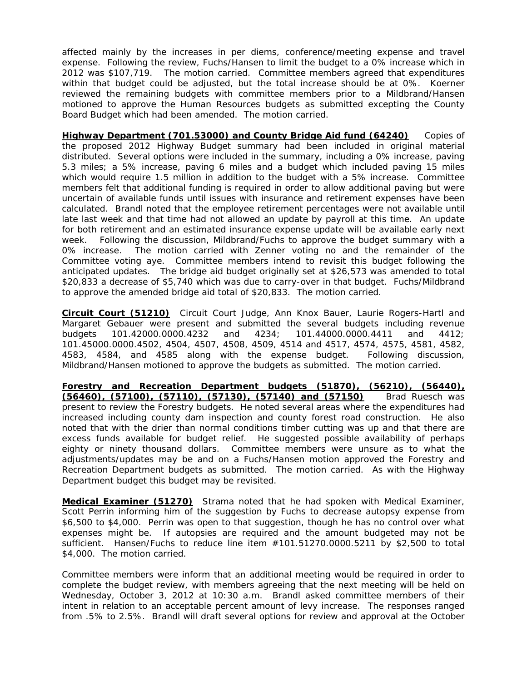affected mainly by the increases in per diems, conference/meeting expense and travel expense. Following the review, Fuchs/Hansen to limit the budget to a 0% increase which in 2012 was \$107,719. The motion carried. Committee members agreed that expenditures within that budget could be adjusted, but the total increase should be at 0%. Koerner reviewed the remaining budgets with committee members prior to a Mildbrand/Hansen motioned to approve the Human Resources budgets as submitted excepting the County Board Budget which had been amended. The motion carried.

**Highway Department (701.53000) and County Bridge Aid fund (64240)** Copies of the proposed 2012 Highway Budget summary had been included in original material distributed. Several options were included in the summary, including a 0% increase, paving 5.3 miles; a 5% increase, paving 6 miles and a budget which included paving 15 miles which would require 1.5 million in addition to the budget with a 5% increase. Committee members felt that additional funding is required in order to allow additional paving but were uncertain of available funds until issues with insurance and retirement expenses have been calculated. Brandl noted that the employee retirement percentages were not available until late last week and that time had not allowed an update by payroll at this time. An update for both retirement and an estimated insurance expense update will be available early next week. Following the discussion, Mildbrand/Fuchs to approve the budget summary with a 0% increase. The motion carried with Zenner voting no and the remainder of the Committee voting aye. Committee members intend to revisit this budget following the anticipated updates. The bridge aid budget originally set at \$26,573 was amended to total \$20,833 a decrease of \$5,740 which was due to carry-over in that budget. Fuchs/Mildbrand to approve the amended bridge aid total of \$20,833. The motion carried.

**Circuit Court (51210)** Circuit Court Judge, Ann Knox Bauer, Laurie Rogers-Hartl and Margaret Gebauer were present and submitted the several budgets including revenue budgets 101.42000.0000.4232 and 4234; 101.44000.0000.4411 and 4412; 101.45000.0000.4502, 4504, 4507, 4508, 4509, 4514 and 4517, 4574, 4575, 4581, 4582, 4583, 4584, and 4585 along with the expense budget. Following discussion, Mildbrand/Hansen motioned to approve the budgets as submitted. The motion carried.

**Forestry and Recreation Department budgets (51870), (56210), (56440), (56460), (57100), (57110), (57130), (57140) and (57150)** Brad Ruesch was present to review the Forestry budgets. He noted several areas where the expenditures had increased including county dam inspection and county forest road construction. He also noted that with the drier than normal conditions timber cutting was up and that there are excess funds available for budget relief. He suggested possible availability of perhaps eighty or ninety thousand dollars. Committee members were unsure as to what the adjustments/updates may be and on a Fuchs/Hansen motion approved the Forestry and Recreation Department budgets as submitted. The motion carried. As with the Highway Department budget this budget may be revisited.

**Medical Examiner (51270)** Strama noted that he had spoken with Medical Examiner, Scott Perrin informing him of the suggestion by Fuchs to decrease autopsy expense from \$6,500 to \$4,000. Perrin was open to that suggestion, though he has no control over what expenses might be. If autopsies are required and the amount budgeted may not be sufficient. Hansen/Fuchs to reduce line item #101.51270.0000.5211 by \$2,500 to total \$4,000. The motion carried.

Committee members were inform that an additional meeting would be required in order to complete the budget review, with members agreeing that the next meeting will be held on Wednesday, October 3, 2012 at 10:30 a.m. Brandl asked committee members of their intent in relation to an acceptable percent amount of levy increase. The responses ranged from .5% to 2.5%. Brandl will draft several options for review and approval at the October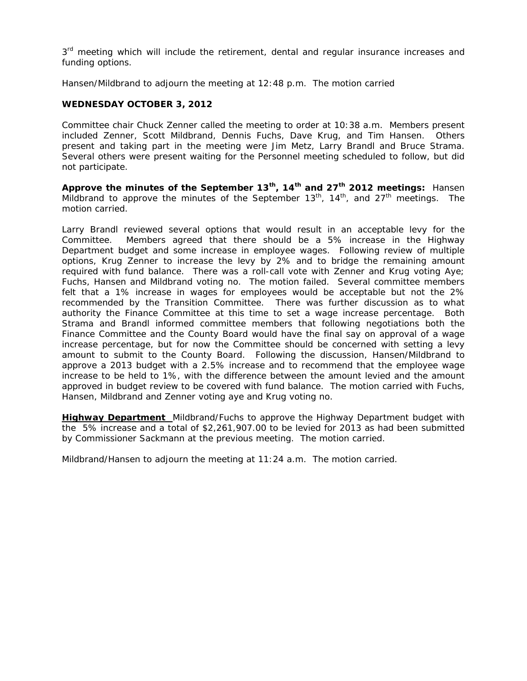3<sup>rd</sup> meeting which will include the retirement, dental and regular insurance increases and funding options.

Hansen/Mildbrand to adjourn the meeting at 12:48 p.m. The motion carried

#### **WEDNESDAY OCTOBER 3, 2012**

Committee chair Chuck Zenner called the meeting to order at 10:38 a.m. Members present included Zenner, Scott Mildbrand, Dennis Fuchs, Dave Krug, and Tim Hansen. Others present and taking part in the meeting were Jim Metz, Larry Brandl and Bruce Strama. Several others were present waiting for the Personnel meeting scheduled to follow, but did not participate.

**Approve the minutes of the September 13th, 14th and 27th 2012 meetings:** Hansen Mildbrand to approve the minutes of the September  $13<sup>th</sup>$ ,  $14<sup>th</sup>$ , and  $27<sup>th</sup>$  meetings. The motion carried.

Larry Brandl reviewed several options that would result in an acceptable levy for the Committee. Members agreed that there should be a 5% increase in the Highway Department budget and some increase in employee wages. Following review of multiple options, Krug Zenner to increase the levy by 2% and to bridge the remaining amount required with fund balance. There was a roll-call vote with Zenner and Krug voting Aye; Fuchs, Hansen and Mildbrand voting no. The motion failed. Several committee members felt that a 1% increase in wages for employees would be acceptable but not the 2% recommended by the Transition Committee. There was further discussion as to what authority the Finance Committee at this time to set a wage increase percentage. Both Strama and Brandl informed committee members that following negotiations both the Finance Committee and the County Board would have the final say on approval of a wage increase percentage, but for now the Committee should be concerned with setting a levy amount to submit to the County Board. Following the discussion, Hansen/Mildbrand to approve a 2013 budget with a 2.5% increase and to recommend that the employee wage increase to be held to 1%, with the difference between the amount levied and the amount approved in budget review to be covered with fund balance. The motion carried with Fuchs, Hansen, Mildbrand and Zenner voting aye and Krug voting no.

**Highway Department** Mildbrand/Fuchs to approve the Highway Department budget with the 5% increase and a total of \$2,261,907.00 to be levied for 2013 as had been submitted by Commissioner Sackmann at the previous meeting. The motion carried.

Mildbrand/Hansen to adjourn the meeting at 11:24 a.m. The motion carried.